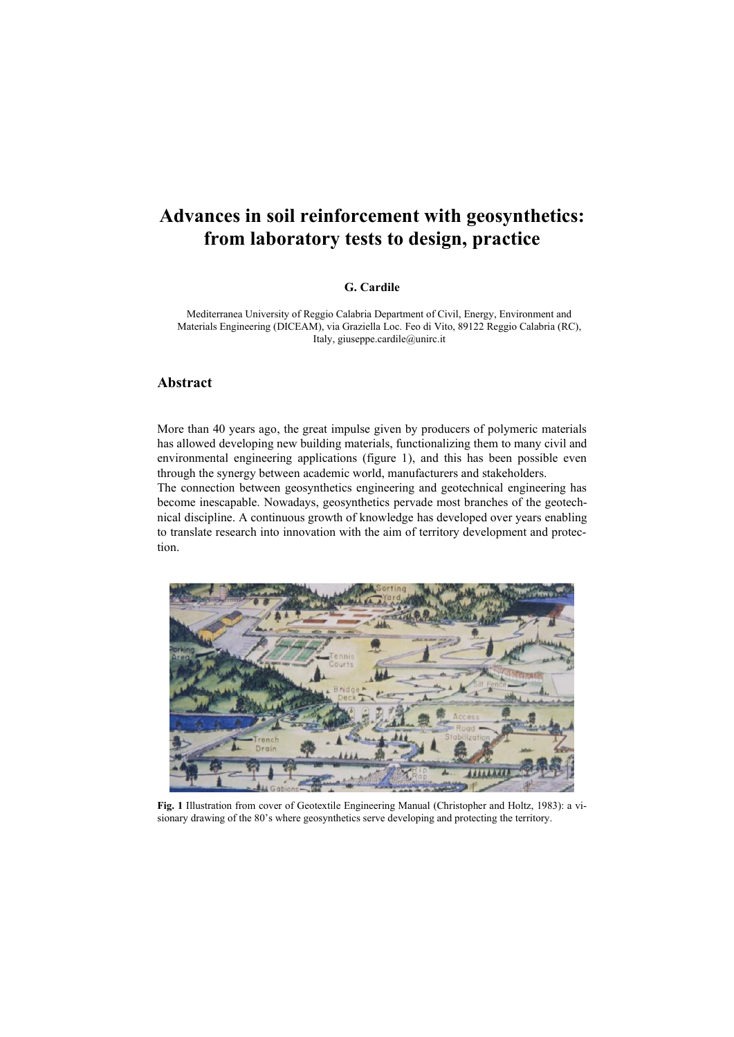## **Advances in soil reinforcement with geosynthetics: from laboratory tests to design, practice**

## **G. Cardile**

Mediterranea University of Reggio Calabria Department of Civil, Energy, Environment and Materials Engineering (DICEAM), via Graziella Loc. Feo di Vito, 89122 Reggio Calabria (RC), Italy, giuseppe.cardile@unirc.it

## **Abstract**

More than 40 years ago, the great impulse given by producers of polymeric materials has allowed developing new building materials, functionalizing them to many civil and environmental engineering applications (figure 1), and this has been possible even through the synergy between academic world, manufacturers and stakeholders.

The connection between geosynthetics engineering and geotechnical engineering has become inescapable. Nowadays, geosynthetics pervade most branches of the geotechnical discipline. A continuous growth of knowledge has developed over years enabling to translate research into innovation with the aim of territory development and protection.



**Fig. 1** Illustration from cover of Geotextile Engineering Manual (Christopher and Holtz, 1983): a visionary drawing of the 80's where geosynthetics serve developing and protecting the territory.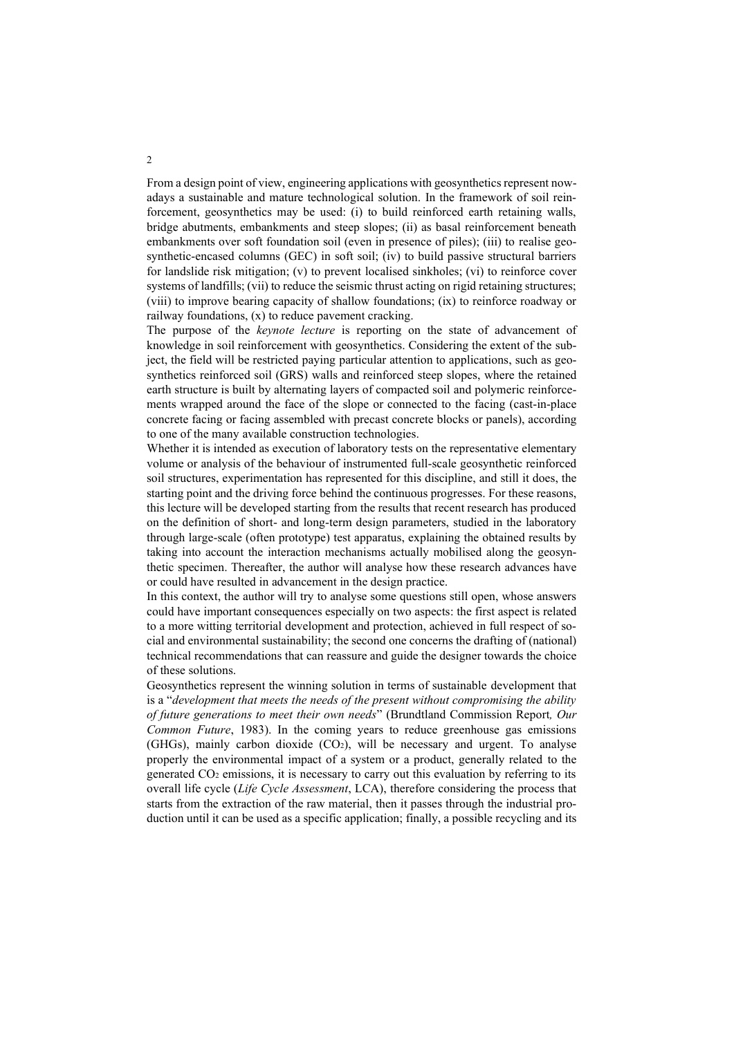From a design point of view, engineering applications with geosynthetics represent nowadays a sustainable and mature technological solution. In the framework of soil reinforcement, geosynthetics may be used: (i) to build reinforced earth retaining walls, bridge abutments, embankments and steep slopes; (ii) as basal reinforcement beneath embankments over soft foundation soil (even in presence of piles); (iii) to realise geosynthetic-encased columns (GEC) in soft soil; (iv) to build passive structural barriers for landslide risk mitigation; (v) to prevent localised sinkholes; (vi) to reinforce cover systems of landfills; (vii) to reduce the seismic thrust acting on rigid retaining structures; (viii) to improve bearing capacity of shallow foundations; (ix) to reinforce roadway or railway foundations, (x) to reduce pavement cracking.

The purpose of the *keynote lecture* is reporting on the state of advancement of knowledge in soil reinforcement with geosynthetics. Considering the extent of the subject, the field will be restricted paying particular attention to applications, such as geosynthetics reinforced soil (GRS) walls and reinforced steep slopes, where the retained earth structure is built by alternating layers of compacted soil and polymeric reinforcements wrapped around the face of the slope or connected to the facing (cast-in-place concrete facing or facing assembled with precast concrete blocks or panels), according to one of the many available construction technologies.

Whether it is intended as execution of laboratory tests on the representative elementary volume or analysis of the behaviour of instrumented full-scale geosynthetic reinforced soil structures, experimentation has represented for this discipline, and still it does, the starting point and the driving force behind the continuous progresses. For these reasons, this lecture will be developed starting from the results that recent research has produced on the definition of short- and long-term design parameters, studied in the laboratory through large-scale (often prototype) test apparatus, explaining the obtained results by taking into account the interaction mechanisms actually mobilised along the geosynthetic specimen. Thereafter, the author will analyse how these research advances have or could have resulted in advancement in the design practice.

In this context, the author will try to analyse some questions still open, whose answers could have important consequences especially on two aspects: the first aspect is related to a more witting territorial development and protection, achieved in full respect of social and environmental sustainability; the second one concerns the drafting of (national) technical recommendations that can reassure and guide the designer towards the choice of these solutions.

Geosynthetics represent the winning solution in terms of sustainable development that is a "*development that meets the needs of the present without compromising the ability of future generations to meet their own needs*" (Brundtland Commission Report*, Our Common Future*, 1983). In the coming years to reduce greenhouse gas emissions (GHGs), mainly carbon dioxide (CO2), will be necessary and urgent. To analyse properly the environmental impact of a system or a product, generally related to the generated CO<sup>2</sup> emissions, it is necessary to carry out this evaluation by referring to its overall life cycle (*Life Cycle Assessment*, LCA), therefore considering the process that starts from the extraction of the raw material, then it passes through the industrial production until it can be used as a specific application; finally, a possible recycling and its

2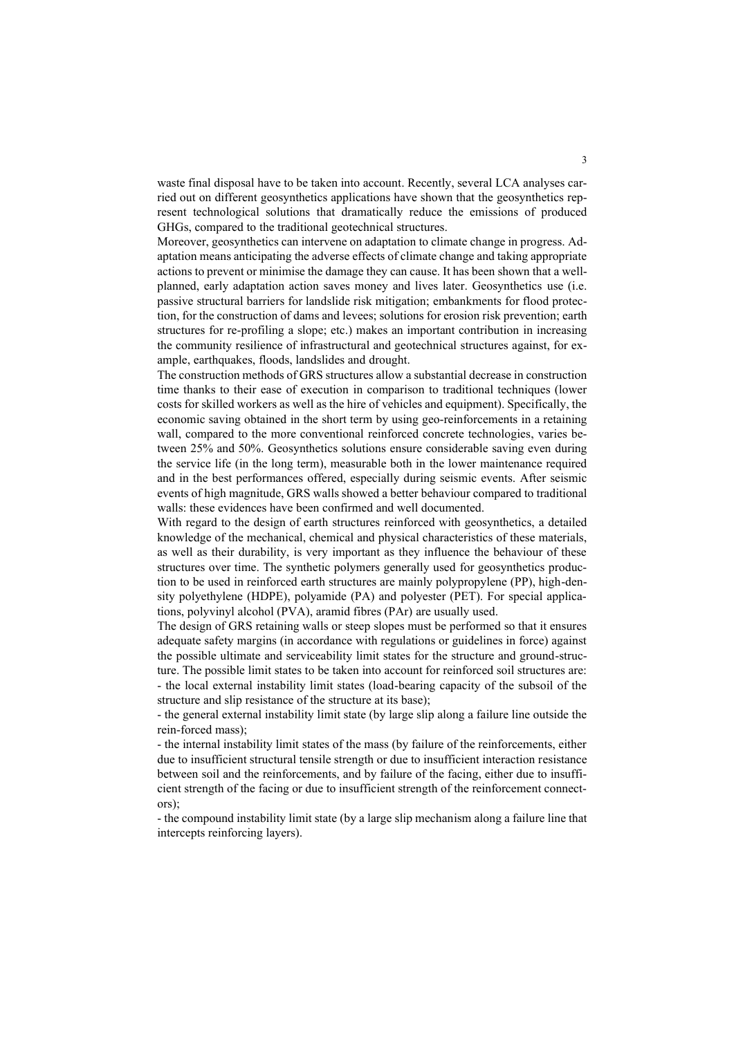waste final disposal have to be taken into account. Recently, several LCA analyses carried out on different geosynthetics applications have shown that the geosynthetics represent technological solutions that dramatically reduce the emissions of produced GHGs, compared to the traditional geotechnical structures.

Moreover, geosynthetics can intervene on adaptation to climate change in progress. Adaptation means anticipating the adverse effects of climate change and taking appropriate actions to prevent or minimise the damage they can cause. It has been shown that a wellplanned, early adaptation action saves money and lives later. Geosynthetics use (i.e. passive structural barriers for landslide risk mitigation; embankments for flood protection, for the construction of dams and levees; solutions for erosion risk prevention; earth structures for re-profiling a slope; etc.) makes an important contribution in increasing the community resilience of infrastructural and geotechnical structures against, for example, earthquakes, floods, landslides and drought.

The construction methods of GRS structures allow a substantial decrease in construction time thanks to their ease of execution in comparison to traditional techniques (lower costs for skilled workers as well as the hire of vehicles and equipment). Specifically, the economic saving obtained in the short term by using geo-reinforcements in a retaining wall, compared to the more conventional reinforced concrete technologies, varies between 25% and 50%. Geosynthetics solutions ensure considerable saving even during the service life (in the long term), measurable both in the lower maintenance required and in the best performances offered, especially during seismic events. After seismic events of high magnitude, GRS walls showed a better behaviour compared to traditional walls: these evidences have been confirmed and well documented.

With regard to the design of earth structures reinforced with geosynthetics, a detailed knowledge of the mechanical, chemical and physical characteristics of these materials, as well as their durability, is very important as they influence the behaviour of these structures over time. The synthetic polymers generally used for geosynthetics production to be used in reinforced earth structures are mainly polypropylene (PP), high-density polyethylene (HDPE), polyamide (PA) and polyester (PET). For special applications, polyvinyl alcohol (PVA), aramid fibres (PAr) are usually used.

The design of GRS retaining walls or steep slopes must be performed so that it ensures adequate safety margins (in accordance with regulations or guidelines in force) against the possible ultimate and serviceability limit states for the structure and ground-structure. The possible limit states to be taken into account for reinforced soil structures are: - the local external instability limit states (load-bearing capacity of the subsoil of the structure and slip resistance of the structure at its base);

- the general external instability limit state (by large slip along a failure line outside the rein-forced mass);

- the internal instability limit states of the mass (by failure of the reinforcements, either due to insufficient structural tensile strength or due to insufficient interaction resistance between soil and the reinforcements, and by failure of the facing, either due to insufficient strength of the facing or due to insufficient strength of the reinforcement connectors);

- the compound instability limit state (by a large slip mechanism along a failure line that intercepts reinforcing layers).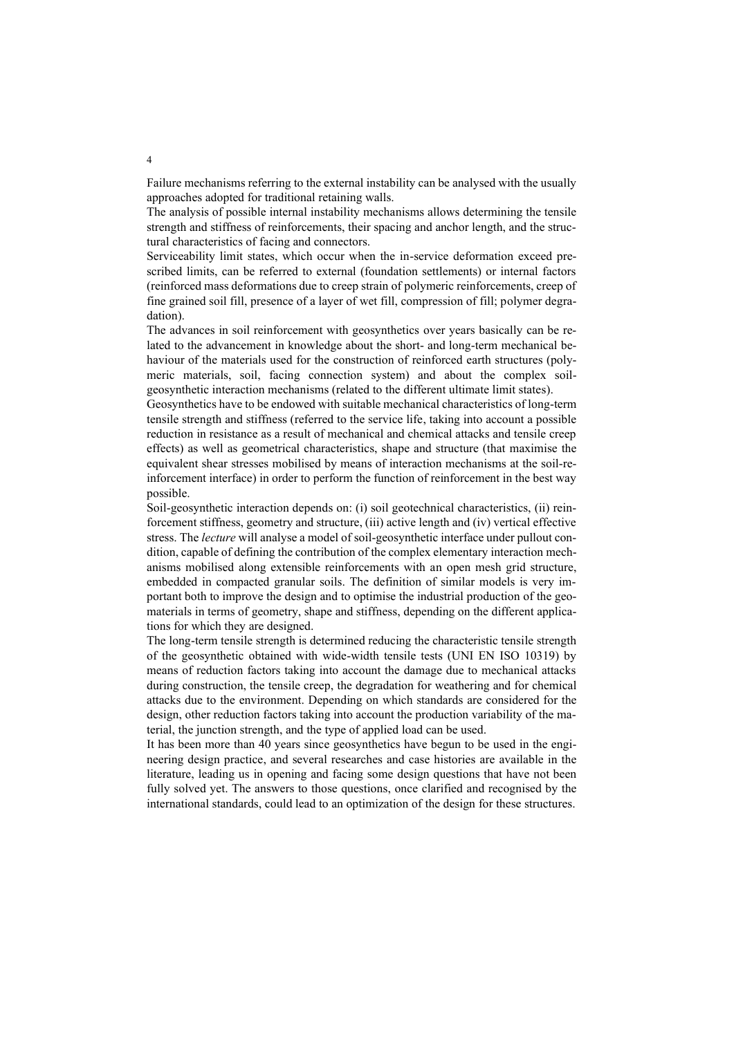Failure mechanisms referring to the external instability can be analysed with the usually approaches adopted for traditional retaining walls.

The analysis of possible internal instability mechanisms allows determining the tensile strength and stiffness of reinforcements, their spacing and anchor length, and the structural characteristics of facing and connectors.

Serviceability limit states, which occur when the in-service deformation exceed prescribed limits, can be referred to external (foundation settlements) or internal factors (reinforced mass deformations due to creep strain of polymeric reinforcements, creep of fine grained soil fill, presence of a layer of wet fill, compression of fill; polymer degradation).

The advances in soil reinforcement with geosynthetics over years basically can be related to the advancement in knowledge about the short- and long-term mechanical behaviour of the materials used for the construction of reinforced earth structures (polymeric materials, soil, facing connection system) and about the complex soilgeosynthetic interaction mechanisms (related to the different ultimate limit states).

Geosynthetics have to be endowed with suitable mechanical characteristics of long-term tensile strength and stiffness (referred to the service life, taking into account a possible reduction in resistance as a result of mechanical and chemical attacks and tensile creep effects) as well as geometrical characteristics, shape and structure (that maximise the equivalent shear stresses mobilised by means of interaction mechanisms at the soil-reinforcement interface) in order to perform the function of reinforcement in the best way possible.

Soil-geosynthetic interaction depends on: (i) soil geotechnical characteristics, (ii) reinforcement stiffness, geometry and structure, (iii) active length and (iv) vertical effective stress. The *lecture* will analyse a model of soil-geosynthetic interface under pullout condition, capable of defining the contribution of the complex elementary interaction mechanisms mobilised along extensible reinforcements with an open mesh grid structure, embedded in compacted granular soils. The definition of similar models is very important both to improve the design and to optimise the industrial production of the geomaterials in terms of geometry, shape and stiffness, depending on the different applications for which they are designed.

The long-term tensile strength is determined reducing the characteristic tensile strength of the geosynthetic obtained with wide-width tensile tests (UNI EN ISO 10319) by means of reduction factors taking into account the damage due to mechanical attacks during construction, the tensile creep, the degradation for weathering and for chemical attacks due to the environment. Depending on which standards are considered for the design, other reduction factors taking into account the production variability of the material, the junction strength, and the type of applied load can be used.

It has been more than 40 years since geosynthetics have begun to be used in the engineering design practice, and several researches and case histories are available in the literature, leading us in opening and facing some design questions that have not been fully solved yet. The answers to those questions, once clarified and recognised by the international standards, could lead to an optimization of the design for these structures.

4